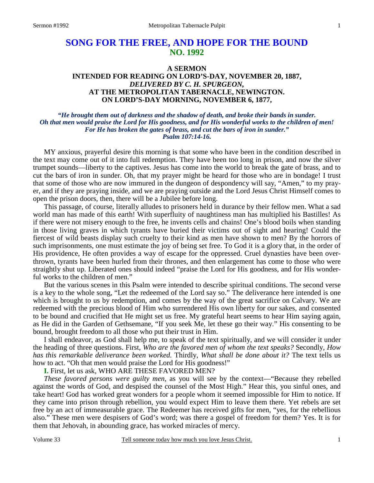# **SONG FOR THE FREE, AND HOPE FOR THE BOUND NO. 1992**

## **A SERMON INTENDED FOR READING ON LORD'S-DAY, NOVEMBER 20, 1887,**  *DELIVERED BY C. H. SPURGEON,*  **AT THE METROPOLITAN TABERNACLE, NEWINGTON. ON LORD'S-DAY MORNING, NOVEMBER 6, 1877,**

*"He brought them out of darkness and the shadow of death, and broke their bands in sunder. Oh that men would praise the Lord for His goodness, and for His wonderful works to the children of men! For He has broken the gates of brass, and cut the bars of iron in sunder." Psalm 107:14-16.* 

 MY anxious, prayerful desire this morning is that some who have been in the condition described in the text may come out of it into full redemption. They have been too long in prison, and now the silver trumpet sounds—liberty to the captives. Jesus has come into the world to break the gate of brass, and to cut the bars of iron in sunder. Oh, that my prayer might be heard for those who are in bondage! I trust that some of those who are now immured in the dungeon of despondency will say, "Amen," to my prayer, and if they are praying inside, and we are praying outside and the Lord Jesus Christ Himself comes to open the prison doors, then, there will be a Jubilee before long.

 This passage, of course, literally alludes to prisoners held in durance by their fellow men. What a sad world man has made of this earth! With superfluity of naughtiness man has multiplied his Bastilles! As if there were not misery enough to the free, he invents cells and chains! One's blood boils when standing in those living graves in which tyrants have buried their victims out of sight and hearing! Could the fiercest of wild beasts display such cruelty to their kind as men have shown to men? By the horrors of such imprisonments, one must estimate the joy of being set free. To God it is a glory that, in the order of His providence, He often provides a way of escape for the oppressed. Cruel dynasties have been overthrown, tyrants have been hurled from their thrones, and then enlargement has come to those who were straightly shut up. Liberated ones should indeed "praise the Lord for His goodness, and for His wonderful works to the children of men."

 But the various scenes in this Psalm were intended to describe spiritual conditions. The second verse is a key to the whole song, "Let the redeemed of the Lord say so." The deliverance here intended is one which is brought to us by redemption, and comes by the way of the great sacrifice on Calvary. We are redeemed with the precious blood of Him who surrendered His own liberty for our sakes, and consented to be bound and crucified that He might set us free. My grateful heart seems to hear Him saying again, as He did in the Garden of Gethsemane, "If you seek Me, let these go their way." His consenting to be bound, brought freedom to all those who put their trust in Him.

 I shall endeavor, as God shall help me, to speak of the text spiritually, and we will consider it under the heading of three questions. First, *Who are the favored men of whom the text speaks?* Secondly, *How has this remarkable deliverance been worked.* Thirdly, *What shall be done about it?* The text tells us how to act. "Oh that men would praise the Lord for His goodness!"

**I.** First, let us ask, WHO ARE THESE FAVORED MEN?

*These favored persons were guilty men,* as you will see by the context—"Because they rebelled against the words of God, and despised the counsel of the Most High." Hear this, you sinful ones, and take heart! God has worked great wonders for a people whom it seemed impossible for Him to notice. If they came into prison through rebellion, you would expect Him to leave them there. Yet rebels are set free by an act of immeasurable grace. The Redeemer has received gifts for men, "yes, for the rebellious also." These men were despisers of God's word; was there a gospel of freedom for them? Yes. It is for them that Jehovah, in abounding grace, has worked miracles of mercy.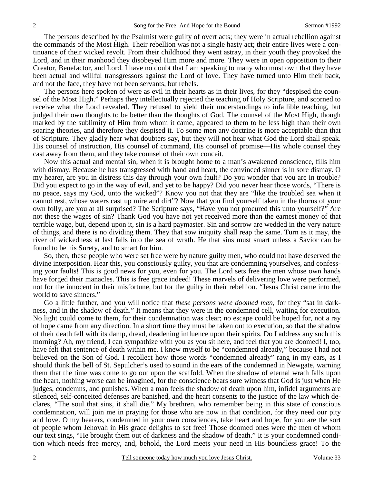The persons described by the Psalmist were guilty of overt acts; they were in actual rebellion against the commands of the Most High. Their rebellion was not a single hasty act; their entire lives were a continuance of their wicked revolt. From their childhood they went astray, in their youth they provoked the Lord, and in their manhood they disobeyed Him more and more. They were in open opposition to their Creator, Benefactor, and Lord. I have no doubt that I am speaking to many who must own that they have been actual and willful transgressors against the Lord of love. They have turned unto Him their back, and not the face, they have not been servants, but rebels.

 The persons here spoken of were as evil in their hearts as in their lives, for they "despised the counsel of the Most High." Perhaps they intellectually rejected the teaching of Holy Scripture, and scorned to receive what the Lord revealed. They refused to yield their understandings to infallible teaching, but judged their own thoughts to be better than the thoughts of God. The counsel of the Most High, though marked by the sublimity of Him from whom it came, appeared to them to be less high than their own soaring theories, and therefore they despised it. To some men any doctrine is more acceptable than that of Scripture. They gladly hear what doubters say, but they will not hear what God the Lord shall speak. His counsel of instruction, His counsel of command, His counsel of promise—His whole counsel they cast away from them, and they take counsel of their own conceit.

 Now this actual and mental sin, when it is brought home to a man's awakened conscience, fills him with dismay. Because he has transgressed with hand and heart, the convinced sinner is in sore dismay. O my hearer, are you in distress this day through your own fault? Do you wonder that you are in trouble? Did you expect to go in the way of evil, and yet to be happy? Did you never hear those words, "There is no peace, says my God, unto the wicked"? Know you not that they are "like the troubled sea when it cannot rest, whose waters cast up mire and dirt"? Now that you find yourself taken in the thorns of your own folly, are you at all surprised? The Scripture says, "Have you not procured this unto yourself?" Are not these the wages of sin? Thank God you have not yet received more than the earnest money of that terrible wage, but, depend upon it, sin is a hard paymaster. Sin and sorrow are wedded in the very nature of things, and there is no dividing them. They that sow iniquity shall reap the same. Turn as it may, the river of wickedness at last falls into the sea of wrath. He that sins must smart unless a Savior can be found to be his Surety, and to smart for him.

 So, then, these people who were set free were by nature guilty men, who could not have deserved the divine interposition. Hear this, you consciously guilty, you that are condemning yourselves, and confessing your faults! This is good news for you, even for you. The Lord sets free the men whose own hands have forged their manacles. This is free grace indeed! These marvels of delivering love were performed, not for the innocent in their misfortune, but for the guilty in their rebellion. "Jesus Christ came into the world to save sinners."

 Go a little further, and you will notice that *these persons were doomed men,* for they "sat in darkness, and in the shadow of death." It means that they were in the condemned cell, waiting for execution. No light could come to them, for their condemnation was clear; no escape could be hoped for, not a ray of hope came from any direction. In a short time they must be taken out to execution, so that the shadow of their death fell with its damp, dread, deadening influence upon their spirits. Do I address any such this morning? Ah, my friend, I can sympathize with you as you sit here, and feel that you are doomed! I, too, have felt that sentence of death within me. I knew myself to be "condemned already," because I had not believed on the Son of God. I recollect how those words "condemned already" rang in my ears, as I should think the bell of St. Sepulcher's used to sound in the ears of the condemned in Newgate, warning them that the time was come to go out upon the scaffold. When the shadow of eternal wrath falls upon the heart, nothing worse can be imagined, for the conscience bears sure witness that God is just when He judges, condemns, and punishes. When a man feels the shadow of death upon him, infidel arguments are silenced, self-conceited defenses are banished, and the heart consents to the justice of the law which declares, "The soul that sins, it shall die." My brethren, who remember being in this state of conscious condemnation, will join me in praying for those who are now in that condition, for they need our pity and love. O my hearers, condemned in your own consciences, take heart and hope, for you are the sort of people whom Jehovah in His grace delights to set free! Those doomed ones were the men of whom our text sings, "He brought them out of darkness and the shadow of death." It is your condemned condition which needs free mercy, and, behold, the Lord meets your need in His boundless grace! To the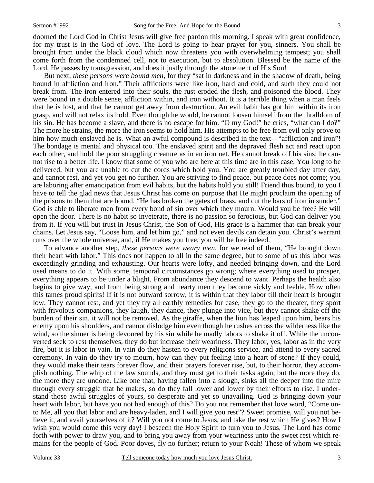doomed the Lord God in Christ Jesus will give free pardon this morning. I speak with great confidence, for my trust is in the God of love. The Lord is going to hear prayer for you, sinners. You shall be brought from under the black cloud which now threatens you with overwhelming tempest; you shall come forth from the condemned cell, not to execution, but to absolution. Blessed be the name of the Lord, He passes by transgression, and does it justly through the atonement of His Son!

 But next, *these persons were bound men,* for they "sat in darkness and in the shadow of death, being bound in affliction and iron." Their afflictions were like iron, hard and cold, and such they could not break from. The iron entered into their souls, the rust eroded the flesh, and poisoned the blood. They were bound in a double sense, affliction within, and iron without. It is a terrible thing when a man feels that he is lost, and that he cannot get away from destruction. An evil habit has got him within its iron grasp, and will not relax its hold. Even though he would, he cannot loosen himself from the thralldom of his sin. He has become a slave, and there is no escape for him. "O my God!" he cries, "what can I do?" The more he strains, the more the iron seems to hold him. His attempts to be free from evil only prove to him how much enslaved he is. What an awful compound is described in the text—"affliction and iron"! The bondage is mental and physical too. The enslaved spirit and the depraved flesh act and react upon each other, and hold the poor struggling creature as in an iron net. He cannot break off his sins; he cannot rise to a better life. I know that some of you who are here at this time are in this case. You long to be delivered, but you are unable to cut the cords which hold you. You are greatly troubled day after day, and cannot rest, and yet you get no further. You are striving to find peace, but peace does not come; you are laboring after emancipation from evil habits, but the habits hold you still! Friend thus bound, to you I have to tell the glad news that Jesus Christ has come on purpose that He might proclaim the opening of the prisons to them that are bound. "He has broken the gates of brass, and cut the bars of iron in sunder." God is able to liberate men from every bond of sin over which they mourn. Would you be free? He will open the door. There is no habit so inveterate, there is no passion so ferocious, but God can deliver you from it. If you will but trust in Jesus Christ, the Son of God, His grace is a hammer that can break your chains. Let Jesus say, "Loose him, and let him go," and not even devils can detain you. Christ's warrant runs over the whole universe, and, if He makes you free, you will be free indeed.

 To advance another step, *these persons were weary men,* for we read of them, "He brought down their heart with labor." This does not happen to all in the same degree, but to some of us this labor was exceedingly grinding and exhausting. Our hearts were lofty, and needed bringing down, and the Lord used means to do it. With some, temporal circumstances go wrong; where everything used to prosper, everything appears to be under a blight. From abundance they descend to want. Perhaps the health also begins to give way, and from being strong and hearty men they become sickly and feeble. How often this tames proud spirits! If it is not outward sorrow, it is within that they labor till their heart is brought low. They cannot rest, and yet they try all earthly remedies for ease, they go to the theater, they sport with frivolous companions, they laugh, they dance, they plunge into vice, but they cannot shake off the burden of their sin, it will not be removed. As the giraffe, when the lion has leaped upon him, bears his enemy upon his shoulders, and cannot dislodge him even though he rushes across the wilderness like the wind, so the sinner is being devoured by his sin while he madly labors to shake it off. While the unconverted seek to rest themselves, they do but increase their weariness. They labor, yes, labor as in the very fire, but it is labor in vain. In vain do they hasten to every religions service, and attend to every sacred ceremony. In vain do they try to mourn, how can they put feeling into a heart of stone? If they could, they would make their tears forever flow, and their prayers forever rise, but, to their horror, they accomplish nothing. The whip of the law sounds, and they must get to their tasks again, but the more they do, the more they are undone. Like one that, having fallen into a slough, sinks all the deeper into the mire through every struggle that he makes, so do they fall lower and lower by their efforts to rise. I understand those awful struggles of yours, so desperate and yet so unavailing. God is bringing down your heart with labor, but have you not had enough of this? Do you not remember that love word, "Come unto Me, all you that labor and are heavy-laden, and I will give you rest"? Sweet promise, will you not believe it, and avail yourselves of it? Will you not come to Jesus, and take the rest which He gives? How I wish you would come this very day! I beseech the Holy Spirit to turn you to Jesus. The Lord has come forth with power to draw you, and to bring you away from your weariness unto the sweet rest which remains for the people of God. Poor doves, fly no further; return to your Noah! These of whom we speak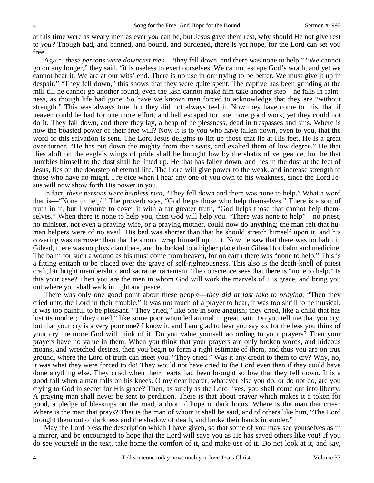at this time were as weary men as ever *you* can be, but Jesus gave them rest, why should He not give rest to *you?* Though bad, and banned, and bound, and burdened, there is yet hope, for the Lord can set you free.

 Again, *these persons were downcast men—*"they fell down, and there was none to help." "We cannot go on any longer," they said, "it is useless to exert ourselves. We cannot escape God's wrath, and yet we cannot bear it. We are at our wits' end. There is no use in our trying to be better. We must give it up in despair." "They fell down," this shows that they were quite spent. The captive has been grinding at the mill till he cannot go another round, even the lash cannot make him take another step—he falls in faintness, as though life had gone. So have we known men forced to acknowledge that they are "without strength." This was always true, but they did not always feel it. Now they have come to this, that if heaven could be had for one more effort, and hell escaped for one more good work, yet they could not do it. They fall down, and there they lay, a heap of helplessness, dead in trespasses and sins. Where is now the boasted power of their free will? Now it is to you who have fallen down, even to you, that the word of this salvation is sent. The Lord Jesus delights to lift up those that lie at His feet. He is a great over-turner, "He has put down the mighty from their seats, and exalted them of low degree." He that flies aloft on the eagle's wings of pride shall be brought low by the shafts of vengeance, but he that humbles himself to the dust shall be lifted up. He that has fallen down, and lies in the dust at the feet of Jesus, lies on the doorstep of eternal life. The Lord will give power to the weak, and increase strength to those who have no might. I rejoice when I hear any one of you own to his weakness, since the Lord Jesus will now show forth His power in you.

 In fact, *these persons were helpless men,* "They fell down and there was none to help." What a word that is—"None to help"! The proverb says, "God helps those who help themselves." There is a sort of truth in it, but I venture to cover it with a far greater truth, "God helps those that cannot help themselves." When there is none to help you, then God will help you. "There was none to help"—no priest, no minister, not even a praying wife, or a praying mother, could now do anything; the man felt that human helpers were of no avail. His bed was shorter than that he should stretch himself upon it, and his covering was narrower than that he should wrap himself up in it. Now he saw that there was no balm in Gilead, there was no physician there, and he looked to a higher place than Gilead for balm and medicine. The balm for such a wound as his must come from heaven, for on earth there was "none to help." This is a fitting epitaph to be placed over the grave of self-righteousness. This also is the death-knell of priest craft, birthright membership, and sacramentarianism. The conscience sees that there is "none to help." Is this your case? Then you are the men in whom God will work the marvels of His grace, and bring you out where you shall walk in light and peace.

 There was only one good point about these people—*they did at last take to praying,* "Then they cried unto the Lord in their trouble." It was not much of a prayer to hear, it was too shrill to be musical; it was too painful to be pleasant. "They cried," like one in sore anguish; they cried, like a child that has lost its mother; "they cried," like some poor wounded animal in great pain. Do you tell me that you cry, but that your cry is a very poor one? I know it, and I am glad to hear you say so, for the less you think of your cry the more God will think of it. Do you value yourself according to your prayers? Then your prayers have no value in them. When you think that your prayers are only broken words, and hideous moans, and wretched desires, then you begin to form a right estimate of them, and thus you are on true ground, where the Lord of truth can meet you. "They cried." Was it any credit to them to cry? Why, no, it was what they were forced to do! They would not have cried to the Lord even then if they could have done anything else. They cried when their hearts had been brought so low that they fell down. It is a good fall when a man falls on his knees. O my dear hearer, whatever else you do, or do not do, are you crying to God in secret for His grace? Then, as surely as the Lord lives, you shall come out into liberty. A praying man shall never be sent to perdition. There is that about prayer which makes it a token for good, a pledge of blessings on the road, a door of hope in dark hours. Where is the man that cries? Where is the man that prays? That is the man of whom it shall be said, and of others like him, "The Lord brought them out of darkness and the shadow of death, and broke their bands in sunder."

 May the Lord bless the description which I have given, so that some of you may see yourselves as in a mirror, and be encouraged to hope that the Lord will save you as He has saved others like you! If you do see yourself in the text, take home the comfort of it, and make use of it. Do not look at it, and say,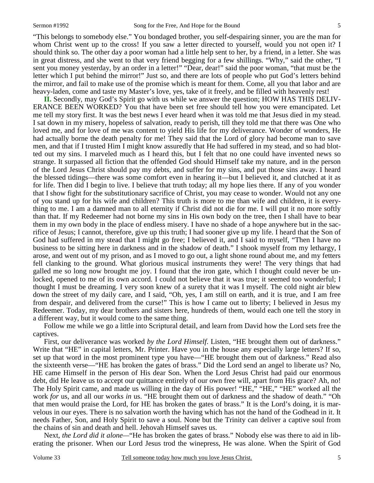"This belongs to somebody else." You bondaged brother, you self-despairing sinner, you are the man for whom Christ went up to the cross! If you saw a letter directed to yourself, would you not open it? I should think so. The other day a poor woman had a little help sent to her, by a friend, in a letter. She was in great distress, and she went to that very friend begging for a few shillings. "Why," said the other, "I sent you money yesterday, by an order in a letter!" "Dear, dear!" said the poor woman, "that must be the letter which I put behind the mirror!" Just so, and there are lots of people who put God's letters behind the mirror, and fail to make use of the promise which is meant for them. Come, all you that labor and are heavy-laden, come and taste my Master's love, yes, take of it freely, and be filled with heavenly rest!

**II.** Secondly, may God's Spirit go with us while we answer the question; HOW HAS THIS DELIV-ERANCE BEEN WORKED? You that have been set free should tell how you were emancipated. Let me tell my story first. It was the best news I ever heard when it was told me that Jesus died in my stead. I sat down in my misery, hopeless of salvation, ready to perish, till they told me that there was One who loved me, and for love of me was content to yield His life for my deliverance. Wonder of wonders, He had actually borne the death penalty for me! They said that the Lord of glory had become man to save men, and that if I trusted Him I might know assuredly that He had suffered in my stead, and so had blotted out my sins. I marveled much as I heard this, but I felt that no one could have invented news so strange. It surpassed all fiction that the offended God should Himself take my nature, and in the person of the Lord Jesus Christ should pay my debts, and suffer for my sins, and put those sins away. I heard the blessed tidings—there was some comfort even in hearing it—but I believed it, and clutched at it as for life. Then did I begin to live. I believe that truth today; all my hope lies there. If any of you wonder that I show fight for the substitutionary sacrifice of Christ, you may cease to wonder. Would not any one of you stand up for his wife and children? This truth is more to me than wife and children, it is everything to me. I am a damned man to all eternity if Christ did not die for me. I will put it no more softly than that. If my Redeemer had not borne my sins in His own body on the tree, then I shall have to bear them in my own body in the place of endless misery. I have no shade of a hope anywhere but in the sacrifice of Jesus; I cannot, therefore, give up this truth; I had sooner give up my life. I heard that the Son of God had suffered in my stead that I might go free; I believed it, and I said to myself, "Then I have no business to be sitting here in darkness and in the shadow of death." I shook myself from my lethargy, I arose, and went out of my prison, and as I moved to go out, a light shone round about me, and my fetters fell clanking to the ground. What glorious musical instruments they were! The very things that had galled me so long now brought me joy. I found that the iron gate, which I thought could never be unlocked, opened to me of its own accord. I could not believe that it was true; it seemed too wonderful; I thought I must be dreaming. I very soon knew of a surety that it was I myself. The cold night air blew down the street of my daily care, and I said, "Oh, yes, I am still on earth, and it is true, and I am free from despair, and delivered from the curse!" This is how I came out to liberty; I believed in Jesus my Redeemer. Today, my dear brothers and sisters here, hundreds of them, would each one tell the story in a different way, but it would come to the same thing.

 Follow me while we go a little into Scriptural detail, and learn from David how the Lord sets free the captives.

 First, our deliverance was worked *by the Lord Himself*. Listen, "HE brought them out of darkness." Write that "HE" in capital letters, Mr. Printer. Have you in the house any especially large letters? If so, set up that word in the most prominent type you have—"HE brought them out of darkness." Read also the sixteenth verse—"HE has broken the gates of brass." Did the Lord send an angel to liberate us? No, HE came Himself in the person of His dear Son. When the Lord Jesus Christ had paid our enormous debt, did He leave us to accept our quittance entirely of our own free will, apart from His grace? Ah, no! The Holy Spirit came, and made us willing in the day of His power! "HE," "HE," "HE" worked all the work *for* us, and all our works *in* us. "HE brought them out of darkness and the shadow of death." "Oh that men would praise the Lord, for HE has broken the gates of brass." It is the Lord's doing, it is marvelous in our eyes. There is no salvation worth the having which has not the hand of the Godhead in it. It needs Father, Son, and Holy Spirit to save a soul. None but the Trinity can deliver a captive soul from the chains of sin and death and hell. Jehovah Himself saves us.

 Next, *the Lord did it alone—*"He has broken the gates of brass." Nobody else was there to aid in liberating the prisoner. When our Lord Jesus trod the winepress, He was alone. When the Spirit of God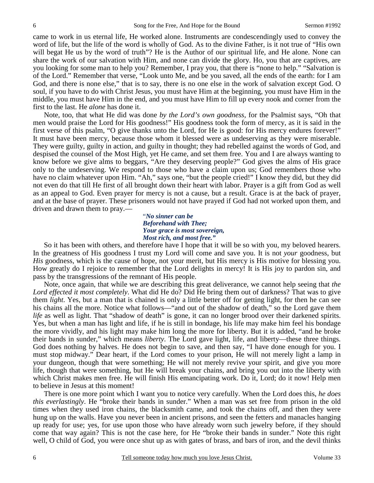came to work in us eternal life, He worked alone. Instruments are condescendingly used to convey the word of life, but the life of the word is wholly of God. As to the divine Father, is it not true of "His own will begat He us by the word of truth"? He is the Author of our spiritual life, and He alone. None can share the work of our salvation with Him, and none can divide the glory. Ho, you that are captives, are you looking for some man to help you? Remember, I pray you, that there is "none to help." "Salvation is of the Lord." Remember that verse, "Look unto Me, and be you saved, all the ends of the earth: for I am God, and there is none else," that is to say, there is no one else in the work of salvation except God. O soul, if you have to do with Christ Jesus, you must have Him at the beginning, you must have Him in the middle, you must have Him in the end, and you must have Him to fill up every nook and corner from the first to the last. He *alone* has done it.

 Note, too, that what He did was done *by the Lord's own goodness,* for the Psalmist says, "Oh that men would praise the Lord for His goodness!" His goodness took the form of mercy, as it is said in the first verse of this psalm, "O give thanks unto the Lord, for He is good: for His mercy endures forever!" It must have been mercy, because those whom it blessed were as undeserving as they were miserable. They were guilty, guilty in action, and guilty in thought; they had rebelled against the words of God, and despised the counsel of the Most High, yet He came, and set them free. You and I are always wanting to know before we give alms to beggars, "Are they deserving people?" God gives the alms of His grace only to the undeserving. We respond to those who have a claim upon us; God remembers those who have no claim whatever upon Him. "Ah," says one, "but the people cried!" I know they did, but they did not even do that till He first of all brought down their heart with labor. Prayer is a gift from God as well as an appeal to God. Even prayer for mercy is not a cause, but a result. Grace is at the back of prayer, and at the base of prayer. These prisoners would not have prayed if God had not worked upon them, and driven and drawn them to pray.—

> "*No sinner can be Beforehand with Thee; Your grace is most sovereign, Most rich, and most free."*

So it has been with others, and therefore have I hope that it will be so with you, my beloved hearers. In the greatness of His goodness I trust my Lord will come and save you. It is not *your* goodness, but *His* goodness, which is the cause of hope, not your merit, but His mercy is His motive for blessing you. How greatly do I rejoice to remember that the Lord delights in mercy! It is His joy to pardon sin, and pass by the transgressions of the remnant of His people.

 Note, once again, that while we are describing this great deliverance, we cannot help seeing that *the Lord effected it most completely*. What did He do? Did He bring them out of darkness? That was to give them *light*. Yes, but a man that is chained is only a little better off for getting light, for then he can see his chains all the more. Notice what follows—"and out of the shadow of death," so the Lord gave them *life* as well as light. That "shadow of death" is gone, it can no longer brood over their darkened spirits. Yes, but when a man has light and life, if he is still in bondage, his life may make him feel his bondage the more vividly, and his light may make him long the more for liberty. But it is added, "and he broke their bands in sunder," which means *liberty*. The Lord gave light, life, and liberty—these three things. God does nothing by halves. He does not begin to save, and then say, "I have done enough for you. I must stop midway." Dear heart, if the Lord comes to your prison, He will not merely light a lamp in your dungeon, though that were something; He will not merely revive your spirit, and give you more life, though that were something, but He will break your chains, and bring you out into the liberty with which Christ makes men free. He will finish His emancipating work. Do it, Lord; do it now! Help men to believe in Jesus at this moment!

 There is one more point which I want you to notice very carefully. When the Lord does this, *he does this everlastingly*. He "broke their bands in sunder." When a man was set free from prison in the old times when they used iron chains, the blacksmith came, and took the chains off, and then they were hung up on the walls. Have you never been in ancient prisons, and seen the fetters and manacles hanging up ready for use; yes, for use upon those who have already worn such jewelry before, if they should come that way again? This is not the case here, for He "broke their bands in sunder." Note this right well, O child of God, you were once shut up as with gates of brass, and bars of iron, and the devil thinks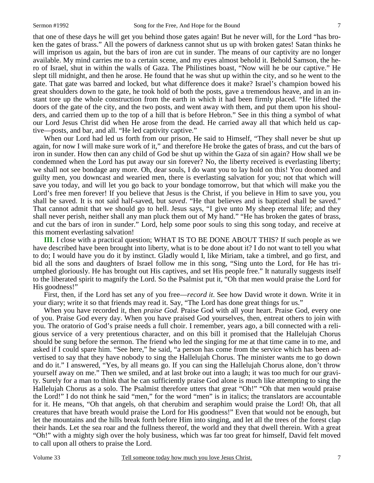that one of these days he will get you behind those gates again! But he never will, for the Lord "has broken the gates of brass." All the powers of darkness cannot shut us up with broken gates! Satan thinks he will imprison us again, but the bars of iron are cut in sunder. The means of our captivity are no longer available. My mind carries me to a certain scene, and my eyes almost behold it. Behold Samson, the hero of Israel, shut in within the walls of Gaza. The Philistines boast, "Now will he be our captive." He slept till midnight, and then he arose. He found that he was shut up within the city, and so he went to the gate. That gate was barred and locked, but what difference does it make? Israel's champion bowed his great shoulders down to the gate, he took hold of both the posts, gave a tremendous heave, and in an instant tore up the whole construction from the earth in which it had been firmly placed. "He lifted the doors of the gate of the city, and the two posts, and went away with them, and put them upon his shoulders, and carried them up to the top of a hill that is before Hebron." See in this thing a symbol of what our Lord Jesus Christ did when He arose from the dead. He carried away all that which held us captive—posts, and bar, and all. "He led captivity captive."

 When our Lord had led us forth from our prison, He said to Himself, "They shall never be shut up again, for now I will make sure work of it," and therefore He broke the gates of brass, and cut the bars of iron in sunder. How then can any child of God be shut up within the Gaza of sin again? How shall we be condemned when the Lord has put away our sin forever? No, the liberty received is everlasting liberty; we shall not see bondage any more. Oh, dear souls, I do want you to lay hold on this! You doomed and guilty men, you downcast and wearied men, there is everlasting salvation for you; not that which will save you today, and will let you go back to your bondage tomorrow, but that which will make you the Lord's free men forever! If you believe that Jesus is the Christ, if you believe in Him to save you, you shall be saved. It is not said half-saved, but *saved*. "He that believes and is baptized shall be saved." That cannot admit that we should go to hell. Jesus says, "I give unto My sheep eternal life; and they shall never perish, neither shall any man pluck them out of My hand." "He has broken the gates of brass, and cut the bars of iron in sunder." Lord, help some poor souls to sing this song today, and receive at this moment everlasting salvation!

**III.** I close with a practical question; WHAT IS TO BE DONE ABOUT THIS? If such people as we have described have been brought into liberty, what is to be done about it? I do not want to tell you what to do; I would have you do it by instinct. Gladly would I, like Miriam, take a timbrel, and go first, and bid all the sons and daughters of Israel follow me in this song, "Sing unto the Lord, for He has triumphed gloriously. He has brought out His captives, and set His people free." It naturally suggests itself to the liberated spirit to magnify the Lord. So the Psalmist put it, "Oh that men would praise the Lord for His goodness!"

 First, then, if the Lord has set any of you free—*record it*. See how David wrote it down. Write it in your diary; write it so that friends may read it. Say, "The Lord has done great things for us."

 When you have recorded it, then *praise God*. Praise God with all your heart. Praise God, every one of you. Praise God every day. When you have praised God yourselves, then, entreat others to join with you. The oratorio of God's praise needs a full choir. I remember, years ago, a bill connected with a religious service of a very pretentious character, and on this bill it promised that the Hallelujah Chorus should be sung before the sermon. The friend who led the singing for me at that time came in to me, and asked if I could spare him. "See here," he said, "a person has come from the service which has been advertised to say that they have nobody to sing the Hallelujah Chorus. The minister wants me to go down and do it." I answered, "Yes, by all means go. If you can sing the Hallelujah Chorus alone, don't throw yourself away on me." Then we smiled, and at last broke out into a laugh; it was too much for our gravity. Surely for a man to think that he can sufficiently praise God alone is much like attempting to sing the Hallelujah Chorus as a solo. The Psalmist therefore utters that great "Oh!" "Oh that men would praise the Lord!" I do not think he said "men," for the word "men" is in italics; the translators are accountable for it. He means, "Oh that angels, oh that cherubim and seraphim would praise the Lord! Oh, that all creatures that have breath would praise the Lord for His goodness!" Even that would not be enough, but let the mountains and the hills break forth before Him into singing, and let all the trees of the forest clap their hands. Let the sea roar and the fullness thereof, the world and they that dwell therein. With a great "Oh!" with a mighty sigh over the holy business, which was far too great for himself, David felt moved to call upon all others to praise the Lord.